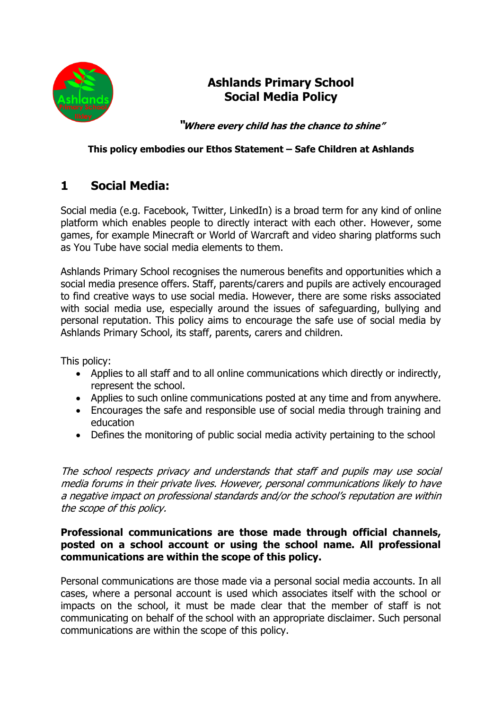

# **Ashlands Primary School Social Media Policy**

**"Where every child has the chance to shine"**

#### **This policy embodies our Ethos Statement – Safe Children at Ashlands**

# **1 Social Media:**

Social media (e.g. Facebook, Twitter, LinkedIn) is a broad term for any kind of online platform which enables people to directly interact with each other. However, some games, for example Minecraft or World of Warcraft and video sharing platforms such as You Tube have social media elements to them.

Ashlands Primary School recognises the numerous benefits and opportunities which a social media presence offers. Staff, parents/carers and pupils are actively encouraged to find creative ways to use social media. However, there are some risks associated with social media use, especially around the issues of safeguarding, bullying and personal reputation. This policy aims to encourage the safe use of social media by Ashlands Primary School, its staff, parents, carers and children.

This policy:

- Applies to all staff and to all online communications which directly or indirectly, represent the school.
- Applies to such online communications posted at any time and from anywhere.
- Encourages the safe and responsible use of social media through training and education
- Defines the monitoring of public social media activity pertaining to the school

The school respects privacy and understands that staff and pupils may use social media forums in their private lives. However, personal communications likely to have a negative impact on professional standards and/or the school's reputation are within the scope of this policy.

#### **Professional communications are those made through official channels, posted on a school account or using the school name. All professional communications are within the scope of this policy.**

Personal communications are those made via a personal social media accounts. In all cases, where a personal account is used which associates itself with the school or impacts on the school, it must be made clear that the member of staff is not communicating on behalf of the school with an appropriate disclaimer. Such personal communications are within the scope of this policy.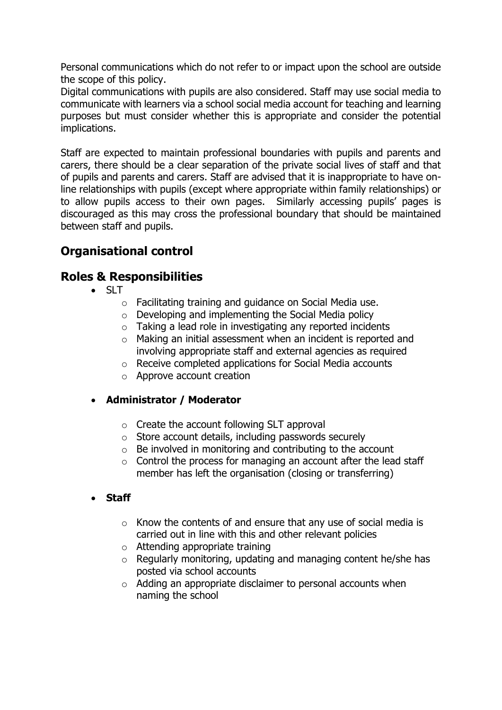Personal communications which do not refer to or impact upon the school are outside the scope of this policy.

Digital communications with pupils are also considered. Staff may use social media to communicate with learners via a school social media account for teaching and learning purposes but must consider whether this is appropriate and consider the potential implications.

Staff are expected to maintain professional boundaries with pupils and parents and carers, there should be a clear separation of the private social lives of staff and that of pupils and parents and carers. Staff are advised that it is inappropriate to have online relationships with pupils (except where appropriate within family relationships) or to allow pupils access to their own pages. Similarly accessing pupils' pages is discouraged as this may cross the professional boundary that should be maintained between staff and pupils.

# **Organisational control**

### **Roles & Responsibilities**

- $\bullet$  SLT
	- o Facilitating training and guidance on Social Media use.
	- o Developing and implementing the Social Media policy
	- o Taking a lead role in investigating any reported incidents
	- o Making an initial assessment when an incident is reported and involving appropriate staff and external agencies as required
	- o Receive completed applications for Social Media accounts
	- o Approve account creation

#### • **Administrator / Moderator**

- $\circ$  Create the account following SLT approval
- o Store account details, including passwords securely
- $\circ$  Be involved in monitoring and contributing to the account
- $\circ$  Control the process for managing an account after the lead staff member has left the organisation (closing or transferring)
- **Staff** 
	- $\circ$  Know the contents of and ensure that any use of social media is carried out in line with this and other relevant policies
	- o Attending appropriate training
	- o Regularly monitoring, updating and managing content he/she has posted via school accounts
	- o Adding an appropriate disclaimer to personal accounts when naming the school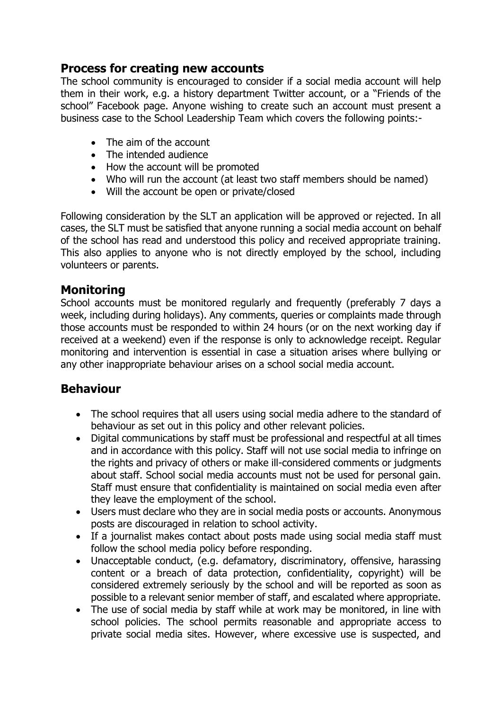## **Process for creating new accounts**

The school community is encouraged to consider if a social media account will help them in their work, e.g. a history department Twitter account, or a "Friends of the school" Facebook page. Anyone wishing to create such an account must present a business case to the School Leadership Team which covers the following points:-

- The aim of the account
- The intended audience
- How the account will be promoted
- Who will run the account (at least two staff members should be named)
- Will the account be open or private/closed

Following consideration by the SLT an application will be approved or rejected. In all cases, the SLT must be satisfied that anyone running a social media account on behalf of the school has read and understood this policy and received appropriate training. This also applies to anyone who is not directly employed by the school, including volunteers or parents.

### **Monitoring**

School accounts must be monitored regularly and frequently (preferably 7 days a week, including during holidays). Any comments, queries or complaints made through those accounts must be responded to within 24 hours (or on the next working day if received at a weekend) even if the response is only to acknowledge receipt. Regular monitoring and intervention is essential in case a situation arises where bullying or any other inappropriate behaviour arises on a school social media account.

### **Behaviour**

- The school requires that all users using social media adhere to the standard of behaviour as set out in this policy and other relevant policies.
- Digital communications by staff must be professional and respectful at all times and in accordance with this policy. Staff will not use social media to infringe on the rights and privacy of others or make ill-considered comments or judgments about staff. School social media accounts must not be used for personal gain. Staff must ensure that confidentiality is maintained on social media even after they leave the employment of the school.
- Users must declare who they are in social media posts or accounts. Anonymous posts are discouraged in relation to school activity.
- If a journalist makes contact about posts made using social media staff must follow the school media policy before responding.
- Unacceptable conduct, (e.g. defamatory, discriminatory, offensive, harassing content or a breach of data protection, confidentiality, copyright) will be considered extremely seriously by the school and will be reported as soon as possible to a relevant senior member of staff, and escalated where appropriate.
- The use of social media by staff while at work may be monitored, in line with school policies. The school permits reasonable and appropriate access to private social media sites. However, where excessive use is suspected, and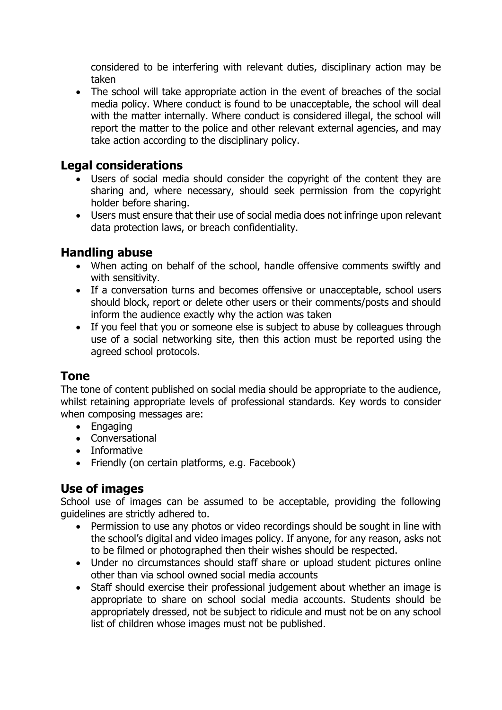considered to be interfering with relevant duties, disciplinary action may be taken

• The school will take appropriate action in the event of breaches of the social media policy. Where conduct is found to be unacceptable, the school will deal with the matter internally. Where conduct is considered illegal, the school will report the matter to the police and other relevant external agencies, and may take action according to the disciplinary policy.

### **Legal considerations**

- Users of social media should consider the copyright of the content they are sharing and, where necessary, should seek permission from the copyright holder before sharing.
- Users must ensure that their use of social media does not infringe upon relevant data protection laws, or breach confidentiality.

### **Handling abuse**

- When acting on behalf of the school, handle offensive comments swiftly and with sensitivity.
- If a conversation turns and becomes offensive or unacceptable, school users should block, report or delete other users or their comments/posts and should inform the audience exactly why the action was taken
- If you feel that you or someone else is subject to abuse by colleagues through use of a social networking site, then this action must be reported using the agreed school protocols.

### **Tone**

The tone of content published on social media should be appropriate to the audience, whilst retaining appropriate levels of professional standards. Key words to consider when composing messages are:

- Engaging
- Conversational
- Informative
- Friendly (on certain platforms, e.g. Facebook)

### **Use of images**

School use of images can be assumed to be acceptable, providing the following guidelines are strictly adhered to.

- Permission to use any photos or video recordings should be sought in line with the school's digital and video images policy. If anyone, for any reason, asks not to be filmed or photographed then their wishes should be respected.
- Under no circumstances should staff share or upload student pictures online other than via school owned social media accounts
- Staff should exercise their professional judgement about whether an image is appropriate to share on school social media accounts. Students should be appropriately dressed, not be subject to ridicule and must not be on any school list of children whose images must not be published.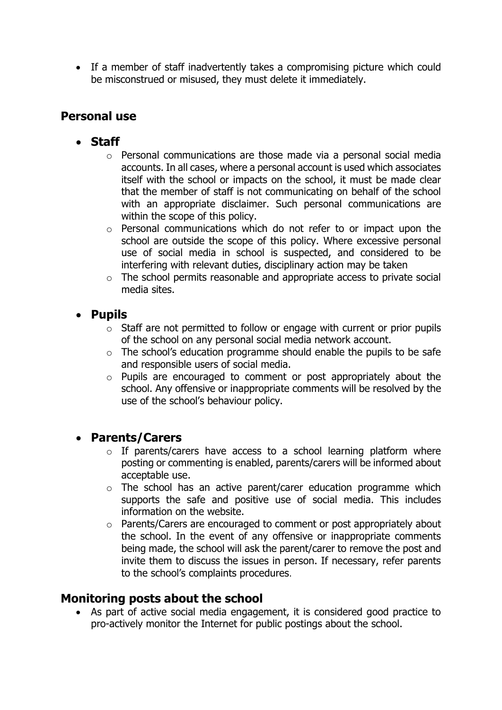• If a member of staff inadvertently takes a compromising picture which could be misconstrued or misused, they must delete it immediately.

# **Personal use**

- **Staff** 
	- o Personal communications are those made via a personal social media accounts. In all cases, where a personal account is used which associates itself with the school or impacts on the school, it must be made clear that the member of staff is not communicating on behalf of the school with an appropriate disclaimer. Such personal communications are within the scope of this policy.
	- o Personal communications which do not refer to or impact upon the school are outside the scope of this policy. Where excessive personal use of social media in school is suspected, and considered to be interfering with relevant duties, disciplinary action may be taken
	- o The school permits reasonable and appropriate access to private social media sites.

### • **Pupils**

- $\circ$  Staff are not permitted to follow or engage with current or prior pupils of the school on any personal social media network account.
- $\circ$  The school's education programme should enable the pupils to be safe and responsible users of social media.
- o Pupils are encouraged to comment or post appropriately about the school. Any offensive or inappropriate comments will be resolved by the use of the school's behaviour policy.

### • **Parents/Carers**

- $\circ$  If parents/carers have access to a school learning platform where posting or commenting is enabled, parents/carers will be informed about acceptable use.
- o The school has an active parent/carer education programme which supports the safe and positive use of social media. This includes information on the website.
- o Parents/Carers are encouraged to comment or post appropriately about the school. In the event of any offensive or inappropriate comments being made, the school will ask the parent/carer to remove the post and invite them to discuss the issues in person. If necessary, refer parents to the school's complaints procedures.

## **Monitoring posts about the school**

• As part of active social media engagement, it is considered good practice to pro-actively monitor the Internet for public postings about the school.